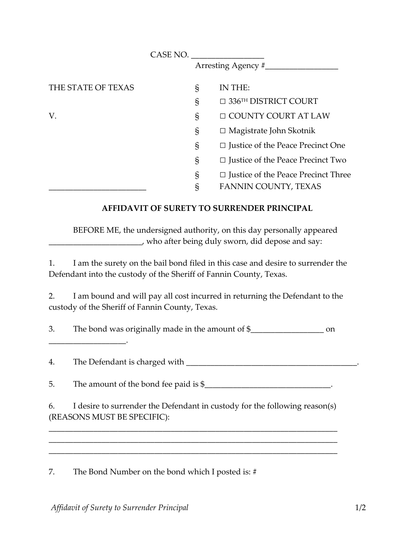|                    | CASE NO. |                                            |
|--------------------|----------|--------------------------------------------|
|                    |          | Arresting Agency #__                       |
| THE STATE OF TEXAS | S        | IN THE:                                    |
|                    | S        | $\Box$ 336 <sup>TH</sup> DISTRICT COURT    |
| V.                 | S        | □ COUNTY COURT AT LAW                      |
|                    | S        | $\Box$ Magistrate John Skotnik             |
|                    | S        | $\Box$ Justice of the Peace Precinct One   |
|                    | S        | $\Box$ Justice of the Peace Precinct Two   |
|                    | S        | $\Box$ Justice of the Peace Precinct Three |
|                    | §        | FANNIN COUNTY, TEXAS                       |

## **AFFIDAVIT OF SURETY TO SURRENDER PRINCIPAL**

BEFORE ME, the undersigned authority, on this day personally appeared \_\_\_\_\_\_\_\_\_\_\_\_\_\_\_\_\_\_\_\_\_\_\_, who after being duly sworn, did depose and say:

1. I am the surety on the bail bond filed in this case and desire to surrender the Defendant into the custody of the Sheriff of Fannin County, Texas.

2. I am bound and will pay all cost incurred in returning the Defendant to the custody of the Sheriff of Fannin County, Texas.

3. The bond was originally made in the amount of \$

4. The Defendant is charged with \_\_\_\_\_\_\_\_\_\_\_\_\_\_\_\_\_\_\_\_\_\_\_\_\_\_\_\_\_\_\_\_\_\_\_\_\_\_\_\_\_\_.

\_\_\_\_\_\_\_\_\_\_\_\_\_\_\_\_\_\_\_.

5. The amount of the bond fee paid is \$\_\_\_\_\_\_\_\_\_\_\_\_\_\_\_\_\_\_\_\_\_\_\_\_\_\_\_\_\_\_.

6. I desire to surrender the Defendant in custody for the following reason(s) (REASONS MUST BE SPECIFIC):

\_\_\_\_\_\_\_\_\_\_\_\_\_\_\_\_\_\_\_\_\_\_\_\_\_\_\_\_\_\_\_\_\_\_\_\_\_\_\_\_\_\_\_\_\_\_\_\_\_\_\_\_\_\_\_\_\_\_\_\_\_\_\_\_\_\_\_\_\_\_\_ \_\_\_\_\_\_\_\_\_\_\_\_\_\_\_\_\_\_\_\_\_\_\_\_\_\_\_\_\_\_\_\_\_\_\_\_\_\_\_\_\_\_\_\_\_\_\_\_\_\_\_\_\_\_\_\_\_\_\_\_\_\_\_\_\_\_\_\_\_\_\_ \_\_\_\_\_\_\_\_\_\_\_\_\_\_\_\_\_\_\_\_\_\_\_\_\_\_\_\_\_\_\_\_\_\_\_\_\_\_\_\_\_\_\_\_\_\_\_\_\_\_\_\_\_\_\_\_\_\_\_\_\_\_\_\_\_\_\_\_\_\_\_

7. The Bond Number on the bond which I posted is: #